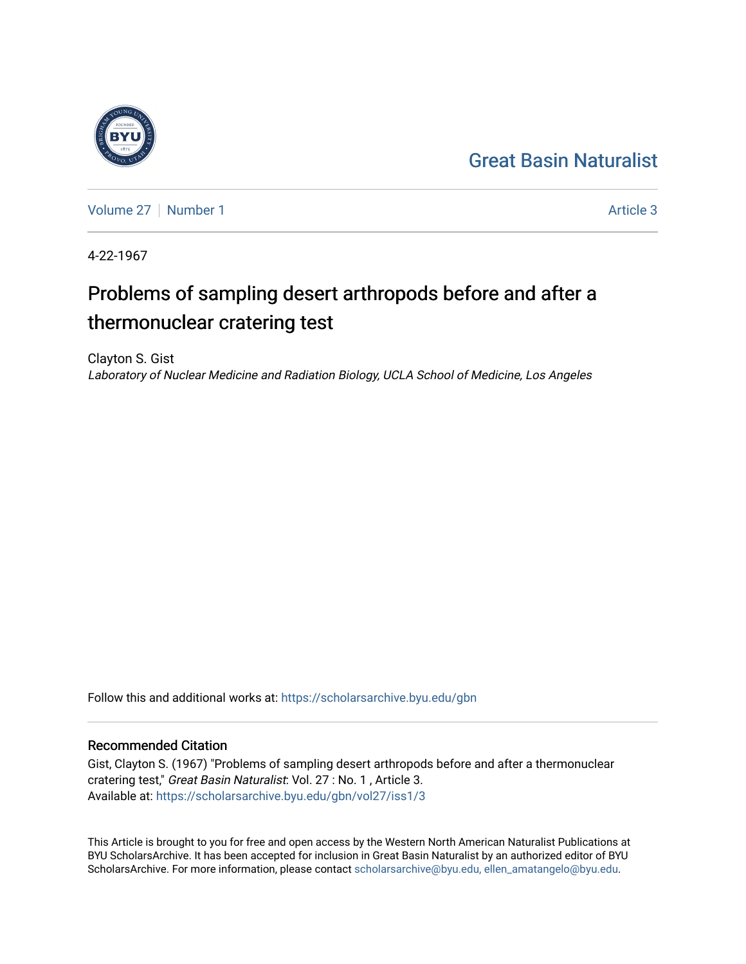## [Great Basin Naturalist](https://scholarsarchive.byu.edu/gbn)

[Volume 27](https://scholarsarchive.byu.edu/gbn/vol27) | [Number 1](https://scholarsarchive.byu.edu/gbn/vol27/iss1) Article 3

4-22-1967

# Problems of sampling desert arthropods before and after a thermonuclear cratering test

Clayton S. Gist Laboratory of Nuclear Medicine and Radiation Biology, UCLA School of Medicine, Los Angeles

Follow this and additional works at: [https://scholarsarchive.byu.edu/gbn](https://scholarsarchive.byu.edu/gbn?utm_source=scholarsarchive.byu.edu%2Fgbn%2Fvol27%2Fiss1%2F3&utm_medium=PDF&utm_campaign=PDFCoverPages) 

### Recommended Citation

Gist, Clayton S. (1967) "Problems of sampling desert arthropods before and after a thermonuclear cratering test," Great Basin Naturalist: Vol. 27 : No. 1 , Article 3. Available at: [https://scholarsarchive.byu.edu/gbn/vol27/iss1/3](https://scholarsarchive.byu.edu/gbn/vol27/iss1/3?utm_source=scholarsarchive.byu.edu%2Fgbn%2Fvol27%2Fiss1%2F3&utm_medium=PDF&utm_campaign=PDFCoverPages)

This Article is brought to you for free and open access by the Western North American Naturalist Publications at BYU ScholarsArchive. It has been accepted for inclusion in Great Basin Naturalist by an authorized editor of BYU ScholarsArchive. For more information, please contact [scholarsarchive@byu.edu, ellen\\_amatangelo@byu.edu.](mailto:scholarsarchive@byu.edu,%20ellen_amatangelo@byu.edu)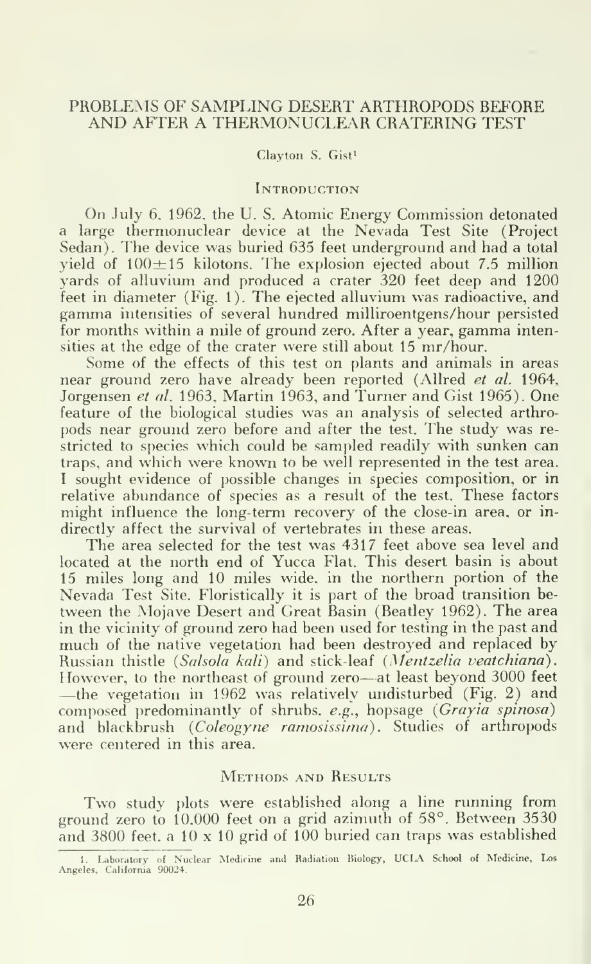#### PROBLEMS OF SAMPLING DESERT ARTHROPODS BEFORE AND AFTER A THERMONUOLEAR CRATERING TEST

#### Clayton S. Gist^

#### **INTRODUCTION**

On July 6, 1962, the U. S. Atomic Energy Commission detonated a large thermonuclear device at the Nevada Test Site (Project Sedan). The device was buried 635 feet underground and had a total yield of  $100\pm15$  kilotons. The explosion ejected about 7.5 million yards of alluvium and produced a crater 320 feet deep and 1200 feet in diameter (Fig. 1). The ejected alluvium was radioactive, and gamma intensities of several hundred milliroentgens/hour persisted for months within <sup>a</sup> mile of ground zero. After <sup>a</sup> year, gamma intensities at the edge of the crater were still about 15 mr/hour.

Some of the effects of this test on plants and animals in areas near ground zero have already been reported (Allred et al. 1964, Jorgensen *et al.* 1963. Martin 1963, and Turner and Gist 1965). One feature of the biological studies was an analysis of selected arthropods near ground zero before and after the test. The study was re stricted to species which could be sampled readily with sunken can traps, and which were known to be well represented in the test area. <sup>I</sup> sought evidence of possible changes in species composition, or in relative abundance of species as a result of the test. These factors might influence the long-term recovery of the close-in area, or in directly affect the survival of vertebrates in these areas.

The area selected for the test was 4317 feet above sea level and located at the north end of Yucca Flat. This desert basin is about 15 miles long and 10 miles wide, in the northern portion of the Nevada Test Site. Floristically it is part of the broad transition between the Mojave Desert and Great Basin (Beatley 1962). The area in the vicinity of ground zero had been used for testing in the past and much of the native vegetation had been destroyed and replaced by Russian thistle (Salsola kali) and stick-leaf (Mentzelia veatchiana). However, to the northeast of ground zero—at least beyond <sup>3000</sup> feet —the vegetation in <sup>1962</sup> was relatively undisturbed (Fig. 2) and composed predominantly of shrubs,  $e.g.,$  hopsage  $(Grayia spinosa)$ and blackbrush (Coleogyne ramosissima). Studies of arthropods were centered in this area.

#### METHODS AND RESULTS

Two study plots were established along <sup>a</sup> line running from ground zero to 10.000 feet on a grid azimuth of 58°. Between 3530 and 3800 feet, a 10 x 10 grid of 100 buried can traps was established

<sup>1.</sup> Laboratory of Nuclear Medicine and Radiation Biology, UCLA School of Medicine, Los Angeles, California 90024.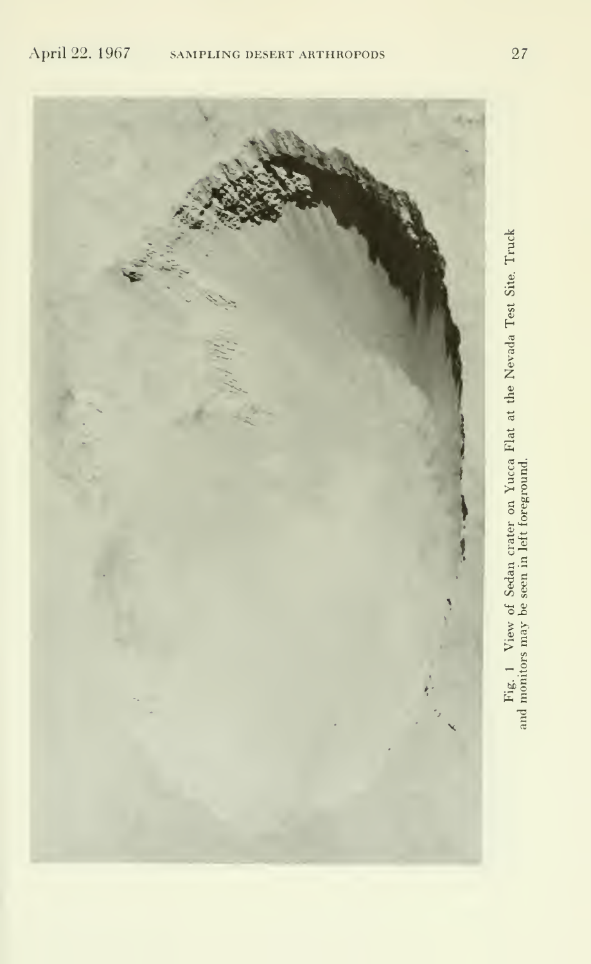

 $\bar{z}$  $\Xi$   $\Xi$   $\Xi$   $\Xi$   $\Xi$  $\circ$   $\overline{\circ}$  - $\overline{\circ}$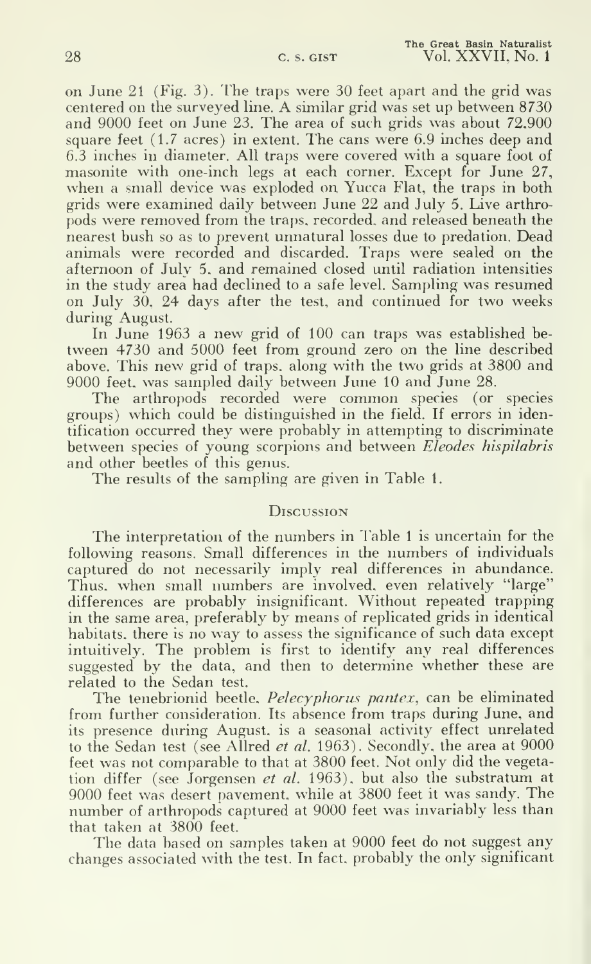on June 21 (Fig. 3). The traps were 30 feet apart and the grid was centered on the surveyed line. A similar grid was set up between 8730 and 9000 feet on June 23. The area of such grids was about 72,900 square feet (1.7 acres) in extent. The cans were 6.9 inches deep and 6.3 inches in diameter. All traps were covered with a square foot of masonite with one-inch legs at each corner. Except for June 27, when a small device was exploded on Yucca Flat, the traps in both grids were examined daily between June 22 and July 5. Live arthro pods were removed from the traps, recorded, and released beneath the nearest bush so as to prevent unnatural losses due to predation. Dead animals were recorded and discarded. Traps were sealed on the afternoon of July 5. and remained closed until radiation intensities in the study area had declined to a safe level. Sampling was resumed on July 30. 24 days after the test, and continued for two weeks during August.

In June 1963 <sup>a</sup> new grid of 100 can traps was established be tween 4730 and 5000 feet from ground zero on the line described above. This new grid of traps, along with the two grids at 3800 and 9000 feet, was sampled daily between June 10 and June 28.

The arthropods recorded were common species (or species groups) which could be distinguished in the field. If errors in identification occurred they were probably in attempting to discriminate between species of young scorpions and between *Eleodes hispilabris* and other beetles of this genus.

The results of the sampling are given in Table 1.

#### **Discussion**

The interpretation of the numbers in Table <sup>1</sup> is uncertain for the following reasons. Small differences in the numbers of individuals captured do not necessarily imply real differences in abundance. Thus, when small numbers are involved, even relatively "large" differences are probably insignificant. Without repeated trapping in the same area, preferably by means of replicated grids in identical habitats, there is no way to assess the significance of such data except intuitively. The problem is first to identify any real differences suggested by the data, and then to determine whether these are related to the Sedan test.

The tenebrionid beetle. *Pelecyphorus pantex*, can be eliminated from further consideration. Its absence from traps during June, and its presence during August, is a seasonal activity effect unrelated to the Sedan test (see Allred et al. 1963). Secondly, the area at 9000 feet was not comparable to that at 3800 feet. Not only did the vegetation differ (see Jorgensen et al. 1963), but also the substratum at 9000 feet was desert pavement, while at 3800 feet it was sandy. The number of arthropods captured at 9000 feet was invariably less than that taken at 3800 feet.

The data based on samples taken at 9000 feet do not suggest any changes associated with the test. In fact, probably the only significant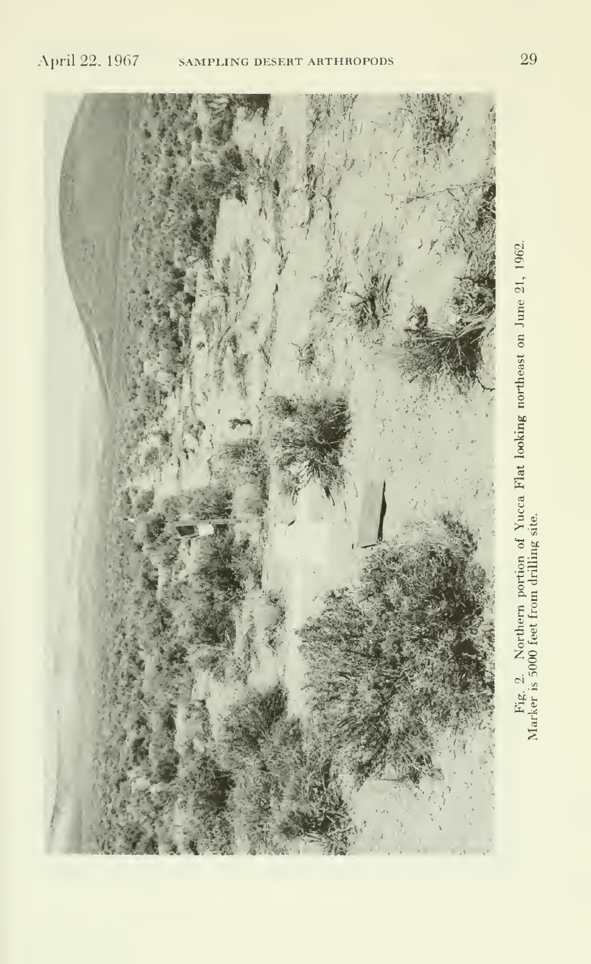

Fig. 2. Northern portion of Yucca Flat looking northeast on June 21, 1962.<br>Marker is 5000 feet from drilling site.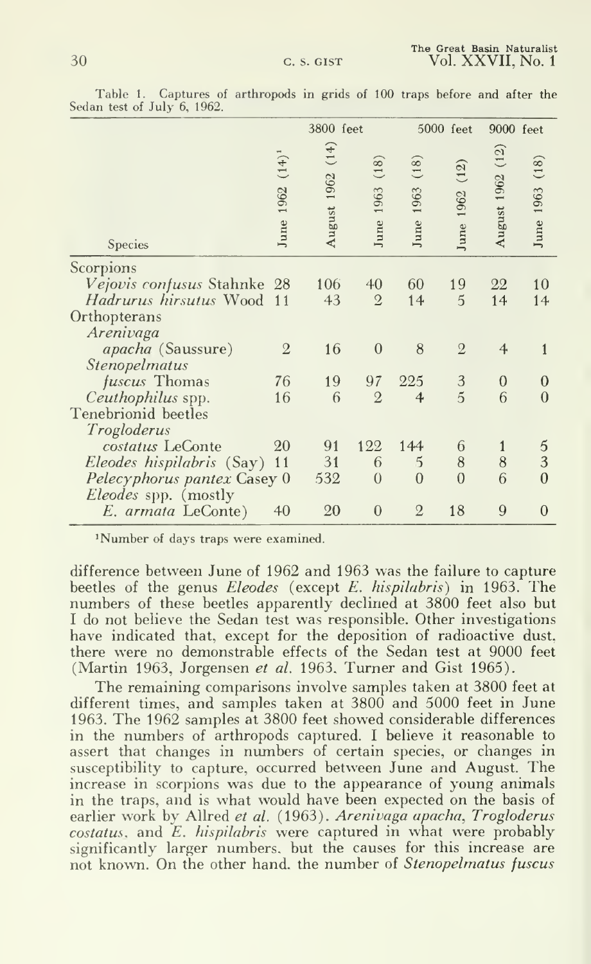|                                                            |                       | 3800 feet           |                      | $5000$ feet          |                     | 9000 feet        |                   |
|------------------------------------------------------------|-----------------------|---------------------|----------------------|----------------------|---------------------|------------------|-------------------|
| Species                                                    | $(14)^1$<br>June 1962 | (14)<br>August 1962 | (18)<br>1963<br>June | (18)<br>1963<br>June | $(12)$<br>June 1962 | August 1962 (12) | (18)<br>June 1963 |
| Scorpions                                                  |                       |                     |                      |                      |                     |                  |                   |
| Vejovis confusus Stahnke 28                                |                       | 106                 | 40                   | 60                   | 19                  | 22               | 10                |
| Hadrurus hirsutus Wood 11                                  |                       | 43                  | $\overline{2}$       | 14                   | 5                   | 14               | 14                |
| Orthopterans                                               |                       |                     |                      |                      |                     |                  |                   |
| Arenivaga                                                  |                       |                     |                      |                      |                     |                  |                   |
| <i>apacha</i> (Saussure)                                   | $\overline{2}$        | 16                  | $\overline{0}$       | 8                    | $\overline{2}$      | $\overline{4}$   | 1                 |
| Stenopelmatus                                              |                       |                     |                      |                      |                     |                  |                   |
| fuscus Thomas                                              | 76                    | 19                  | 97                   | 225                  | 3                   | 0                | $\theta$          |
| Ceuthophilus spp.                                          | 16                    | 6                   | $\overline{2}$       | $\overline{4}$       | 5                   | 6                | $\Omega$          |
| Tenebrionid beetles                                        |                       |                     |                      |                      |                     |                  |                   |
| Trogloderus                                                |                       |                     |                      |                      |                     |                  |                   |
| costatus LeConte                                           | 20                    | 91                  | 122                  | 144                  | 6                   | 1                | $\frac{5}{3}$     |
| Eleodes hispilabris (Say) 11                               |                       | 31                  | 6                    | $\overline{5}$       | 8                   | 8                |                   |
| Pelecyphorus pantex Casey 0<br><i>Eleodes</i> spp. (mostly |                       | 532                 | $\overline{0}$       | $\theta$             | $\Omega$            | 6                | $\theta$          |
| E. armata LeConte)                                         | 40                    | 20                  | $\theta$             | $\overline{2}$       | 18                  | 9                | $\theta$          |
|                                                            |                       |                     |                      |                      |                     |                  |                   |

Table 1. Captures of arthropods in grids of 100 traps before and after the Sedan test of July 6, 1962.

<sup>1</sup>Number of days traps were examined.

difference between June of 1962 and 1963 was the failure to capture beetles of the genus *Eleodes* (except *E. hispilabris*) in 1963. The numbers of these beetles apparently declined at 3800 feet also but I do not believe the Sedan test was responsible. Other investigations have indicated that, except for the deposition of radioactive dust, there were no demonstrable effects of the Sedan test at 9000 feet (Martin 1963, Jorgensen et al. 1963, Turner and Gist 1965).

The remaining comparisons involve samples taken at 3800 feet at different times, and samples taken at 3800 and 5000 feet in June 1963. The 1962 samples at 3800 feet showed considerable differences in the numbers of arthropods captured. I believe it reasonable to assert that changes in numbers of certain species, or changes in susceptibility to capture, occurred between June and August. The increase in scorpions was due to the appearance of young animals<br>in the traps, and is what would have been expected on the basis of earlier work by Allred et al. (1963). Arenivaga apacha, Trogloderus costatus, and E, hispilabris were captured in what were probably significantly larger numbers, but the causes for this increase are not known. On the other hand, the number of Stenopelmatus fuscus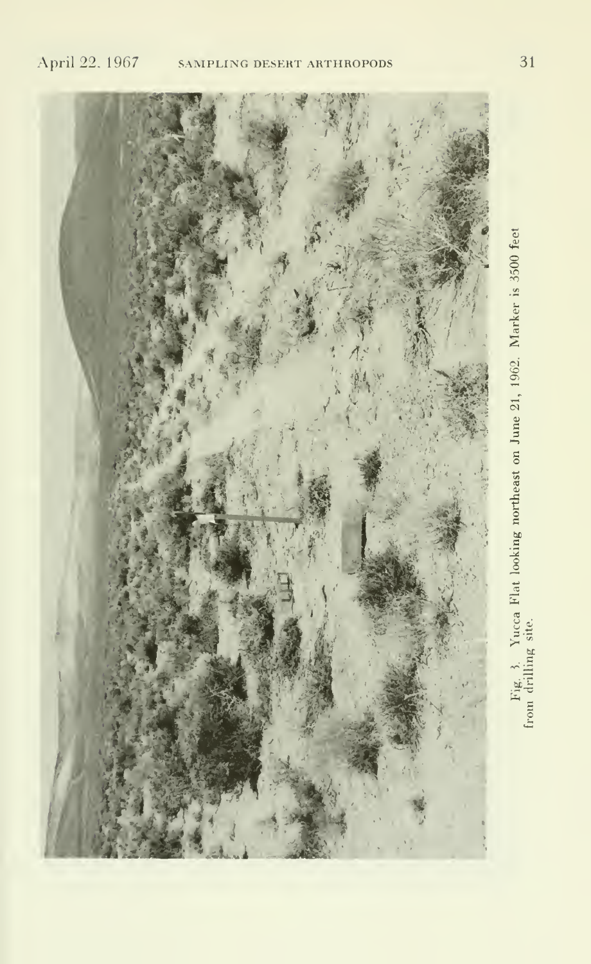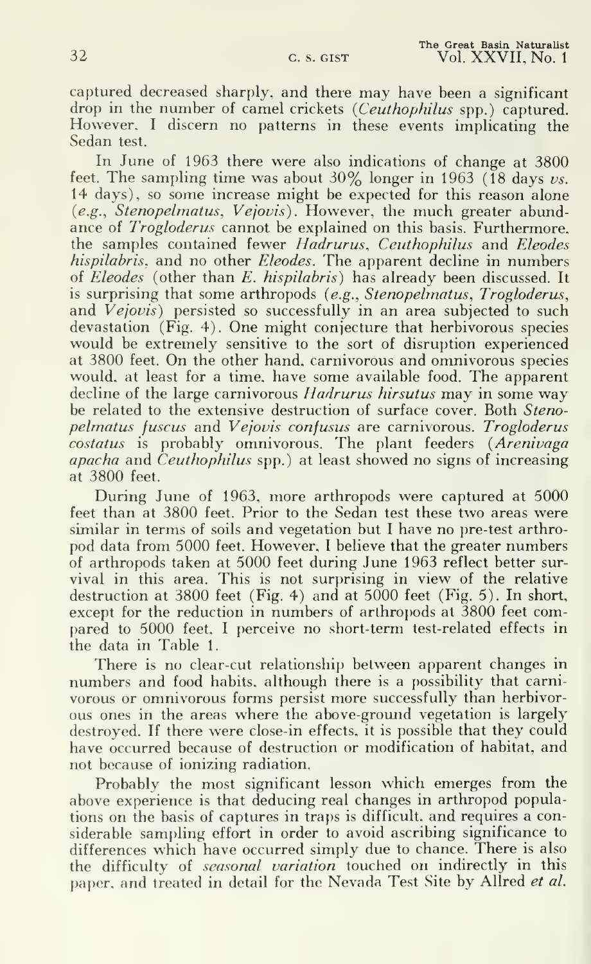captured decreased sharply, and there may have been <sup>a</sup> significant drop in the number of camel crickets (Ceuthophilus spp.) captured. However, <sup>I</sup> discern no patterns in these events implicating the Sedan test.

In June of 1963 there were also indications of change at 3800 feet. The sampling time was about  $30\%$  longer in 1963 (18 days vs. 14 days), so some increase might be expected for this reason alone  $(e.g., Stenopelmatus, Vejovis)$ . However, the much greater abundance of Trogloderus cannot be explained on this basis. Furthermore, the samples contained fewer Hadrurus, Ceuthophilus and Eleodes hispilabris, and no other Eleodes. The apparent decline in numbers of *Eleodes* (other than *E. hispilabris*) has already been discussed. It is surprising that some arthropods (e.g., Stenopelmatus, Trogloderus, and *Vejovis*) persisted so successfully in an area subjected to such devastation (Fig. 4). One might conjecture that herbivorous species would be extremely sensitive to the sort of disruption experienced at 3800 feet. On the other hand, carnivorous and omnivorous species would, at least for <sup>a</sup> time, have some available food. The apparent decline of the large carnivorous *Hadrurus hirsutus* may in some way be related to the extensive destruction of surface cover. Both Stenopelmatus fuscus and Vejovis confusus are carnivorous. Trogloderus costatus is probably omnivorous. The plant feeders (Arenivaga apacha and Ceuthophilus spp.) at least showed no signs of increasing at 3800 feet.

During June of 1963, more arthropods were captured at 5000 feet than at 3800 feet. Prior to the Sedan test these two areas were similar in terms of soils and vegetation but <sup>I</sup> have no pre-test arthropod data from 5000 feet. However, <sup>I</sup> believe that the greater numbers of arthropods taken at 5000 feet during June 1963 reflect better sur vival in this area. This is not surprising in view of the relative destruction at 3800 feet (Fig. 4) and at 5000 feet (Fig. 5). In short, except for the reduction in numbers of arthropods at 3800 feet compared to 5000 feet, <sup>I</sup> perceive no short-term test-related effects in the data in Table 1.

There is no clear-cut relationship between apparent changes in numbers and food habits, although there is a possibility that carni vorous or omnivorous forms persist more successfully than herbivor ous ones in the areas where the above-ground vegetation is largely destroyed. If there were close-in effects, it is possible that they could have occurred because of destruction or modification of habitat, and not because of ionizing radiation.

Probably the most significant lesson which emerges from the above experience is that deducing real changes in arthropod populations on the basis of captures in traps is difficult, and requires a considerable sampling effort in order to avoid ascribing significance to differences which have occurred simply due to chance. There is also the difficulty of *seasonal variation* touched on indirectly in this paper, and treated in detail for the Nevada Test Site by Allred et al.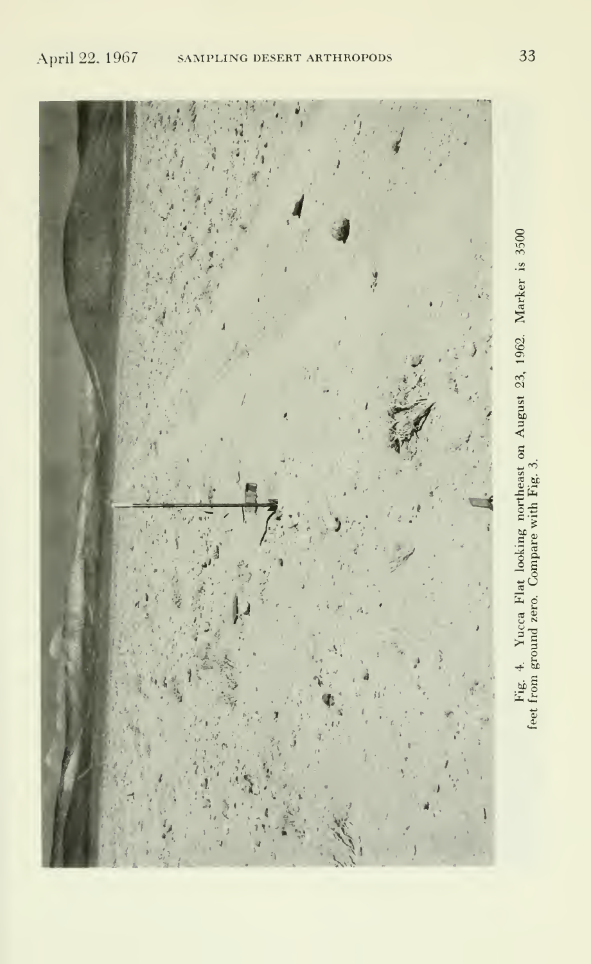

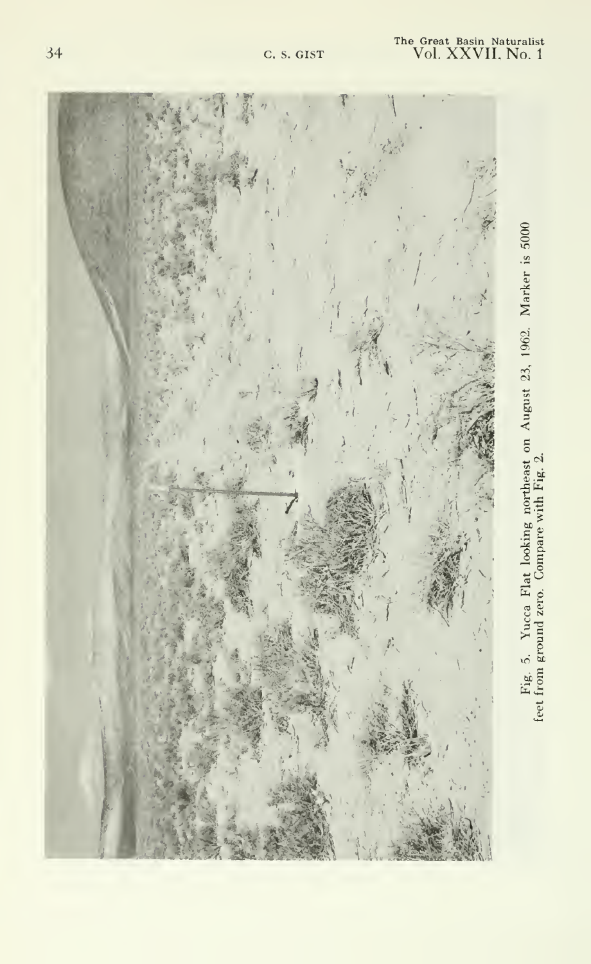